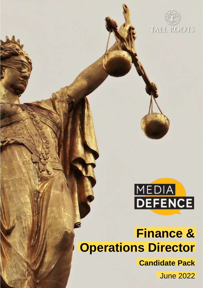



# **Finance & Operations Director Finance & Operations Director Candidate Pack**

**Media Defence**

June 2022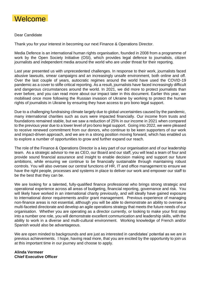

#### Dear Candidate

Thank you for your interest in becoming our next Finance & Operations Director.

Media Defence is an international human rights organisation, founded in 2008 from a programme of work by the Open Society Initiative (OSI), which provides legal defence to journalists, citizen journalists and independent media around the world who are under threat for their reporting.

Last year presented us with unprecedented challenges. In response to their work, journalists faced abusive lawsuits, smear campaigns and an increasingly unsafe environment, both online and off. Over the last couple of years, autocratic regimes around the world have used the COVID-19 pandemic as a cover to stifle critical reporting. As a result, journalists have faced increasingly difficult and dangerous circumstances around the world. In 2021, we did more to protect journalists than ever before, and you can read more about our impact later in this document. Earlier this year, we mobilised once more following the Russian invasion of Ukraine by working to protect the human rights of journalists in Ukraine by ensuring they have access to pro bono legal support.

Due to a challenging fundraising climate largely due to global uncertainties caused by the pandemic, many international charities such as ours were impacted financially. Our income from trusts and foundations remained stable, but we saw a reduction of 25% in our income in 2021 when compared to the previous year due to a lower level of pro bono legal support. Going into 2022, we were pleased to receive renewed commitment from our donors, who continue to be keen supporters of our work and impact-driven approach, and we are in a strong position moving forward, which has enabled us to explore a number of opportunities to grow and further expand our reach.

The role of the Finance & Operations Director is a key part of our organisation and of our leadership team. As a strategic advisor to me as CEO, our Board and our staff, you will lead a team of four and provide sound financial assurance and insight to enable decision making and support our future ambitions, while ensuring we continue to be financially sustainable through maintaining robust controls. You will also oversee our central functions of HR, IT and office management to ensure we have the right people, processes and systems in place to deliver our work and empower our staff to be the best that they can be.

We are looking for a talented, fully-qualified finance professional who brings strong strategic and operational experience across all areas of budgeting, financial reporting, governance and risk. You will likely have worked in an international charity previously, and will ideally have gained exposure to international donor requirements and/or grant management. Previous experience of managing non-finance areas is not essential, although you will be able to demonstrate an ability to oversee a multi-faceted directorate and develop an agile operations strategy that meets the future needs of our organisation. Whether you are operating as a director currently, or looking to make your first step into a number one role, you will demonstrate excellent communication and leadership skills, with the ability to work in a diverse and multi-cultural environment. Working knowledge of French and/or Spanish would also be advantageous.

We are open minded to backgrounds and are just as interested in candidates' potential as we are in previous achievements. I hope, having read more, that you are excited by the opportunity to join us at this important time in our journey and choose to apply.

#### **Alinda Vermeer Chief Executive Officer**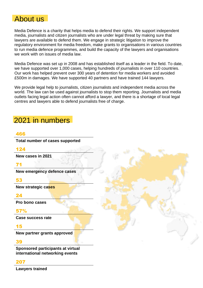# About us

Media Defence is a charity that helps media to defend their rights. We support independent media, journalists and citizen journalists who are under legal threat by making sure that lawyers are available to defend them. We engage in strategic litigation to improve the regulatory environment for media freedom, make grants to organisations in various countries to run media defence programmes, and build the capacity of the lawyers and organisations we work with on issues of media law.

Media Defence was set up in 2008 and has established itself as a leader in the field. To date, we have supported over 1,000 cases, helping hundreds of journalists in over 110 countries. Our work has helped prevent over 300 years of detention for media workers and avoided £500m in damages. We have supported 40 partners and have trained 144 lawyers.

We provide legal help to journalists, citizen journalists and independent media across the world. The law can be used against journalists to stop them reporting. Journalists and media outlets facing legal action often cannot afford a lawyer, and there is a shortage of local legal centres and lawyers able to defend journalists free of charge.

# 2021 in numbers

### 466

**Total number of cases supported**

### 124

**New cases in 2021**

## 71

**New emergency defence cases**

### 53

**New strategic cases**

### 24

**Pro bono cases**

## 57%

**Case success rate**

### 15

**New partner grants approved**

### 39

**Sponsored participants at virtual international networking events**

### 207

**Lawyers trained**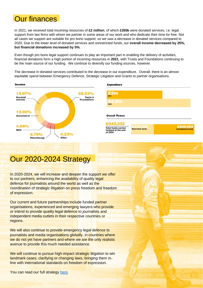# Our finances

In 2021, we received total incoming resources of **£2 million**, of which **£355k** were donated services, i.e. legal support from law firms with whom we partner in some areas of our work and who dedicate their time for free. Not all cases we support are suitable for pro bono support, so we saw a decrease in donated services compared to 2020. Due to the lower level of donated services and unrestricted funds, our **overall income decreased by 25%, but financial donations increased by 5%.**

Even though pro bono legal support continues to play an important part in enabling the delivery of activities, financial donations form a high portion of incoming resources in **2021**, with Trusts and Foundations continuing to be the main source of our funding. We continue to diversify our funding sources, however.

The decrease in donated services contributed to the decrease in our expenditure. Overall, there is an almost equitable spend between Emergency Defence, Strategic Litigation and Grants to partner organisations.





# Our 2020-2024 Strategy

In 2020-2024, we will increase and deepen the support we offer to our partners, enhancing the availability of quality legal defence for journalists around the world as well as the coordination of strategic litigation on press freedom and freedom of expression.

Our current and future partnerships include funded partner organisations, experienced and emerging lawyers who provide or intend to provide quality legal defence to journalists and independent media outlets in their respective countries or regions.

We will also continue to provide emergency legal defence to journalists and media organisations globally, in countries where we do not yet have partners and where we are the only realistic avenue to provide this much needed assistance.

We will continue to pursue high-impact strategic litigation to win landmark cases, clarifying or changing laws, bringing them inline with international standards on freedom of expression.

You can read our full strategy [here.](https://www.mediadefence.org/wp-content/uploads/2020/06/Media-Defence-Strategy-2020-%E2%80%93-2024-09-compressed.pdf)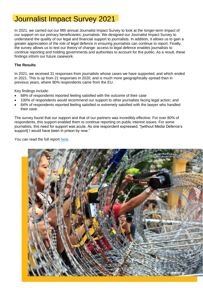# Journalist Impact Survey 2021

In 2021, we carried out our fifth annual Journalist Impact Survey to look at the longer-term impact of our support on our primary beneficiaries: journalists. We designed our Journalist Impact Survey to understand the quality of our legal and financial support to journalists. In addition, it allows us to gain a greater appreciation of the role of legal defence in ensuring journalists can continue to report. Finally, the survey allows us to test our theory of change: access to legal defence enables journalists to continue reporting and holding governments and authorities to account for the public. As a result, these findings inform our future casework.

#### **The Results**

In 2021, we received 31 responses from journalists whose cases we have supported, and which ended in 2021. This is up from 21 responses in 2020, and is much more geographically-spread than in previous years, where 90% respondents came from the EU.

Key findings include:

- 68% of respondents reported feeling satisfied with the outcome of their case
- 100% of respondents would recommend our support to other journalists facing legal action; and
- 84% of respondents reported feeling satisfied or extremely satisfied with the lawyer who handled their case.

The survey found that our support and that of our partners was incredibly effective. For over 80% of respondents, this support enabled them to continue reporting on public interest issues. For some journalists, this need for support was acute. As one respondent expressed, "[without Media Defence's support] I would have been in prison by now."

You can read the full report [here.](https://www.mediadefence.org/impact-publication/journalist-impact-survey-2021/)

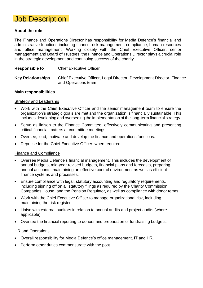

### **About the role**

The Finance and Operations Director has responsibility for Media Defence's financial and administrative functions including finance, risk management, compliance, human resources and office management. Working closely with the Chief Executive Officer, senior management and Board of Trustees, the Finance and Operations Director plays a crucial role in the strategic development and continuing success of the charity.

| <b>Responsible to</b> | <b>Chief Executive Officer</b> |
|-----------------------|--------------------------------|
|                       |                                |

**Key Relationships** Chief Executive Officer, Legal Director, Development Director, Finance and Operations team

#### **Main responsibilities**

#### Strategy and Leadership

- Work with the Chief Executive Officer and the senior management team to ensure the organization's strategic goals are met and the organization is financially sustainable. This includes developing and overseeing the implementation of the long-term financial strategy.
- Serve as liaison to the Finance Committee, effectively communicating and presenting critical financial matters at committee meetings.
- Oversee, lead, motivate and develop the finance and operations functions.
- Deputise for the Chief Executive Officer, when required.

### Finance and Compliance

- Oversee Media Defence's financial management. This includes the development of annual budgets, mid-year revised budgets, financial plans and forecasts, preparing annual accounts, maintaining an effective control environment as well as efficient finance systems and processes.
- Ensure compliance with legal, statutory accounting and regulatory requirements, including signing off on all statutory filings as required by the Charity Commission, Companies House, and the Pension Regulator, as well as compliance with donor terms.
- Work with the Chief Executive Officer to manage organizational risk, including maintaining the risk register.
- Liaise with external auditors in relation to annual audits and project audits (where applicable).
- Oversee the financial reporting to donors and preparation of fundraising budgets.

#### HR and Operations

- Overall responsibility for Media Defence's office management, IT and HR.
- Perform other duties commensurate with the post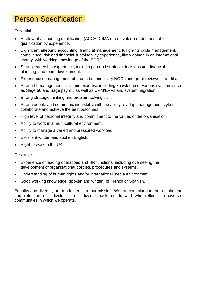# Person Specification

### **Essential**

- A relevant accounting qualification (ACCA, CIMA or equivalent) or demonstrable qualification by experience.
- Significant all-round accounting, financial management, full grants cycle management, compliance, risk and financial sustainability experience, likely gained in an international charity, with working knowledge of the SORP.
- Strong leadership experience, including around strategic decisions and financial planning, and team development.
- Experience of management of grants to beneficiary NGOs and grant reviews or audits.
- Strong IT management skills and expertise including knowledge of various systems such as Sage 50 and Sage payroll, as well as CRM/ERPs and system migration.
- Strong strategic thinking and problem-solving skills.
- Strong people and communication skills, with the ability to adapt management style to collaborate and achieve the best outcomes.
- High level of personal integrity and commitment to the values of the organisation.
- Ability to work in a multi-cultural environment.
- Ability to manage a varied and pressured workload.
- Excellent written and spoken English.
- Right to work in the UK.

### Desirable

- Experience of leading operations and HR functions, including overseeing the development of organisational policies, procedures and systems.
- Understanding of human rights and/or international media environment.
- Good working knowledge (spoken and written) of French or Spanish.

Equality and diversity are fundamental to our mission. We are committed to the recruitment and retention of individuals from diverse backgrounds and who reflect the diverse communities in which we operate.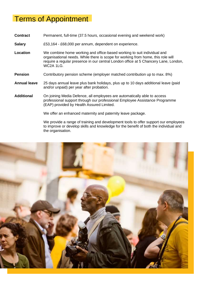# Terms of Appointment

**Contract** Permanent, full-time (37.5 hours, occasional evening and weekend work)

**Salary** £53,164 - £68,000 per annum, dependent on experience.

- **Location** We combine home working and office-based working to suit individual and organisational needs. While there is scope for working from home, this role will require a regular presence in our central London office at 5 Chancery Lane, London, WC<sub>2</sub>A <sub>1LG</sub>
- **Pension** Contributory pension scheme (employer matched contribution up to max. 8%)
- **Annual leave** 25 days annual leave plus bank holidays, plus up to 10 days additional leave (paid and/or unpaid) per year after probation.
- **Additional** On joining Media Defence, all employees are automatically able to access professional support through our professional Employee Assistance Programme (EAP) provided by Health Assured Limited.

We offer an enhanced maternity and paternity leave package.

We provide a range of training and development tools to offer support our employees to improve or develop skills and knowledge for the benefit of both the individual and the organisation.

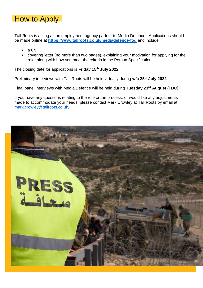

Tall Roots is acting as an employment agency partner to Media Defence. Applications should be made online at **<https://www.tallroots.co.uk/mediadefence-fod>** and include:

- a CV
- covering letter (no more than two pages), explaining your motivation for applying for the role, along with how you meet the criteria in the Person Specification.

The closing date for applications is **Friday 15th July 2022**.

Preliminary interviews with Tall Roots will be held virtually during **w/c 25th July 2022**

Final panel interviews with Media Defence will be held during **Tuesday 23rd August (TBC)**

If you have any questions relating to the role or the process, or would like any adjustments made to accommodate your needs, please contact Mark Crowley at Tall Roots by email at [mark.crowley@tallroots.co.uk.](mailto:mark.crowley@tallroots.co.uk)